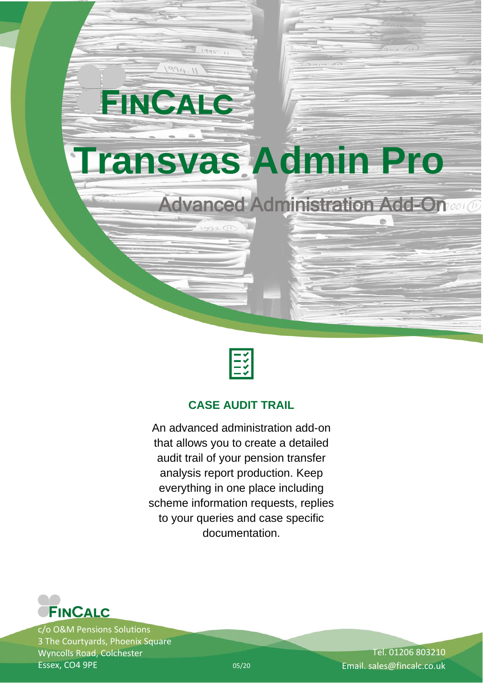



## **CASE AUDIT TRAIL**

An advanced administration add-on that allows you to create a detailed audit trail of your pension transfer analysis report production. Keep everything in one place including scheme information requests, replies to your queries and case specific documentation.



c/o O&M Pensions Solutions 3 The Courtyards, Phoenix Square Wyncolls Road, Colchester Essex, CO4 9PE

Tel. 01206 803210 05/20 Email. sales@fincalc.co.uk